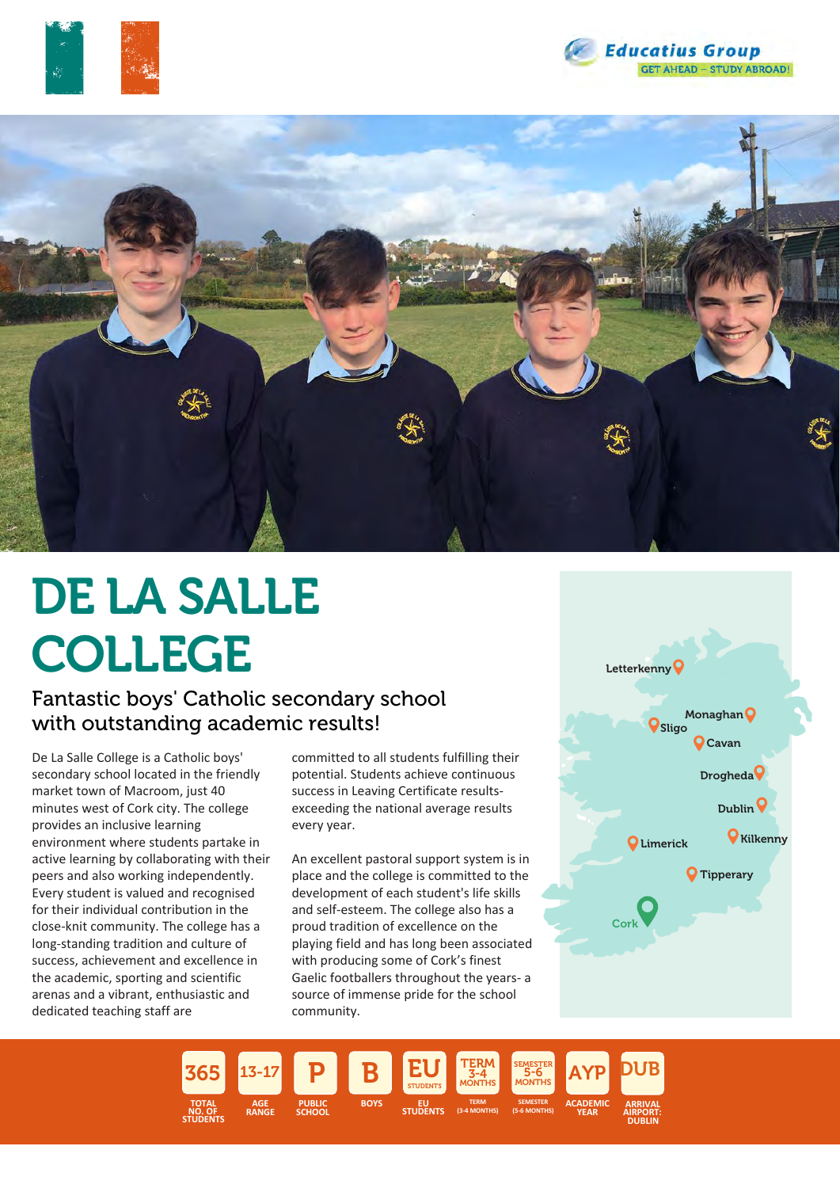





# DE LA SALLE COLLEGE

### Fantastic boys' Catholic secondary school with outstanding academic results!

De La Salle College is a Catholic boys' secondary school located in the friendly market town of Macroom, just 40 minutes west of Cork city. The college provides an inclusive learning environment where students partake in active learning by collaborating with their peers and also working independently. Every student is valued and recognised for their individual contribution in the close-knit community. The college has a long-standing tradition and culture of success, achievement and excellence in the academic, sporting and scientific arenas and a vibrant, enthusiastic and dedicated teaching staff are

committed to all students fulfilling their potential. Students achieve continuous success in Leaving Certificate resultsexceeding the national average results every year.

An excellent pastoral support system is in place and the college is committed to the development of each student's life skills and self-esteem. The college also has a proud tradition of excellence on the playing field and has long been associated with producing some of Cork's finest Gaelic footballers throughout the years- a source of immense pride for the school community.



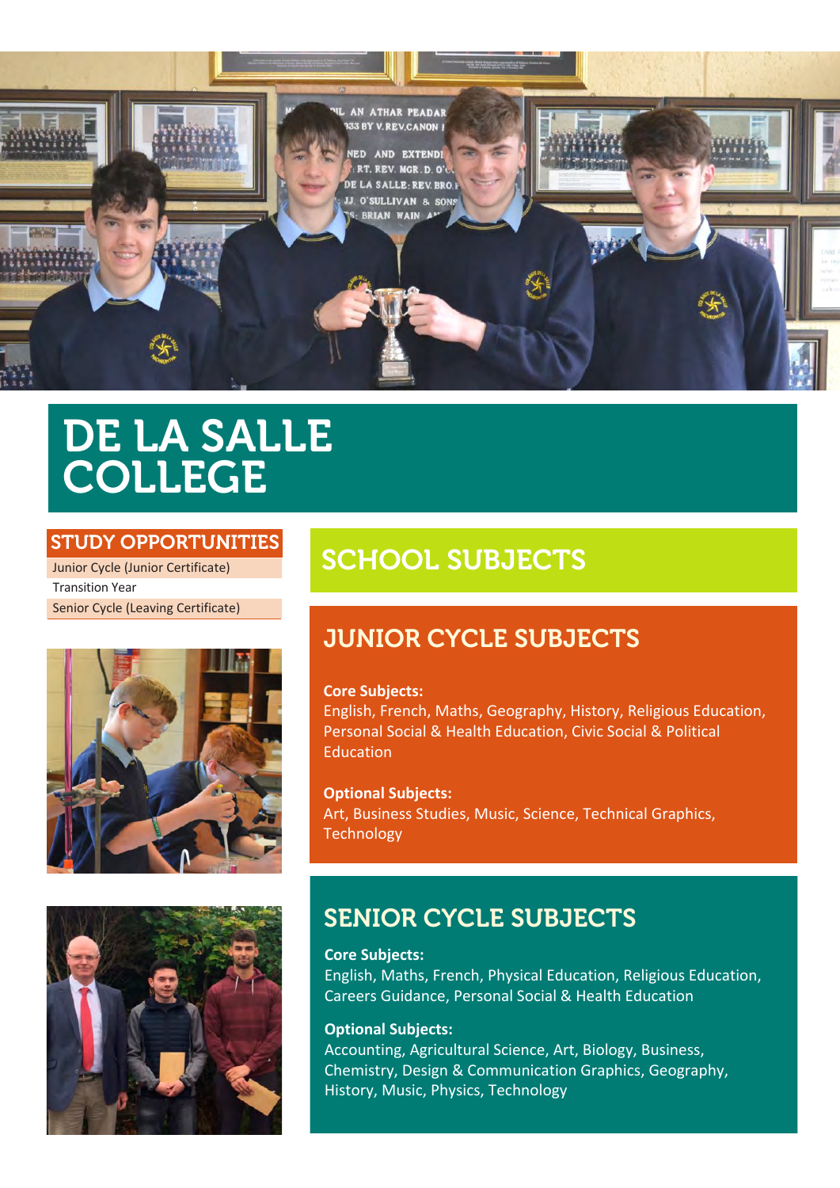

## DE LA SALLE COLLEGE

#### STUDY OPPORTUNITIES

Junior Cycle (Junior Certificate) Transition Year Senior Cycle (Leaving Certificate)





## SCHOOL SUBJECTS

## JUNIOR CYCLE SUBJECTS

#### **Core Subjects:**

English, French, Maths, Geography, History, Religious Education, Personal Social & Health Education, Civic Social & Political Education

**Optional Subjects:** Art, Business Studies, Music, Science, Technical Graphics, **Technology** 

### SENIOR CYCLE SUBJECTS

**Core Subjects:** English, Maths, French, Physical Education, Religious Education, Careers Guidance, Personal Social & Health Education

#### **Optional Subjects:**

Accounting, Agricultural Science, Art, Biology, Business, Chemistry, Design & Communication Graphics, Geography, History, Music, Physics, Technology